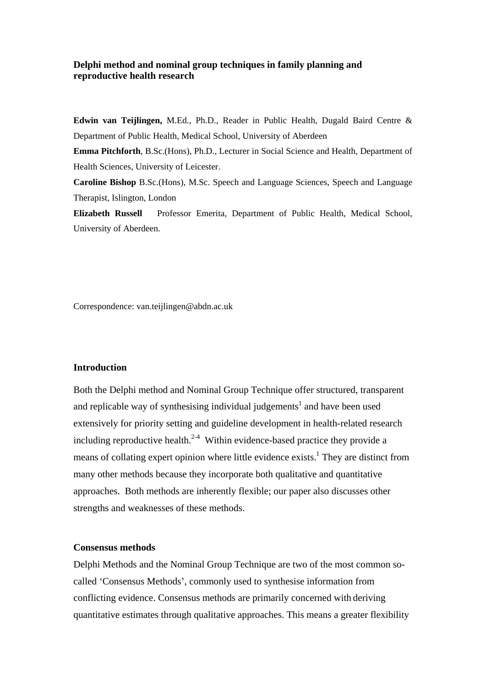# **Delphi method and nominal group techniques in family planning and reproductive health research**

**Edwin van Teijlingen,** M.Ed., Ph.D., Reader in Public Health, Dugald Baird Centre & Department of Public Health, Medical School, University of Aberdeen **Emma Pitchforth**, B.Sc.(Hons), Ph.D., Lecturer in Social Science and Health, Department of Health Sciences, University of Leicester. **Caroline Bishop** B.Sc.(Hons), M.Sc. Speech and Language Sciences, Speech and Language Therapist, Islington, London

**Elizabeth Russell** Professor Emerita, Department of Public Health, Medical School, University of Aberdeen.

Correspondence: van.teijlingen@abdn.ac.uk

# **Introduction**

Both the Delphi method and Nominal Group Technique offer structured, transparent and replicable way of synthesising individual judgements<sup>1</sup> and have been used extensively for priority setting and guideline development in health-related research including reproductive health.<sup>2-4</sup> Within evidence-based practice they provide a means of collating expert opinion where little evidence exists.<sup>1</sup> They are distinct from many other methods because they incorporate both qualitative and quantitative approaches. Both methods are inherently flexible; our paper also discusses other strengths and weaknesses of these methods.

#### **Consensus methods**

Delphi Methods and the Nominal Group Technique are two of the most common socalled 'Consensus Methods', commonly used to synthesise information from conflicting evidence. Consensus methods are primarily concerned with deriving quantitative estimates through qualitative approaches. This means a greater flexibility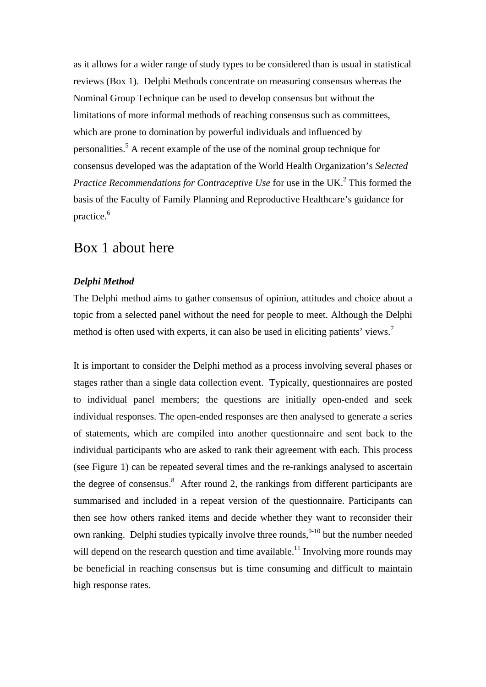as it allows for a wider range of study types to be considered than is usual in statistical reviews (Box 1). Delphi Methods concentrate on measuring consensus whereas the Nominal Group Technique can be used to develop consensus but without the limitations of more informal methods of reaching consensus such as committees, which are prone to domination by powerful individuals and influenced by personalities.<sup>5</sup> A recent example of the use of the nominal group technique for consensus developed was the adaptation of the World Health Organization's *Selected*  Practice Recommendations for Contraceptive Use for use in the UK.<sup>2</sup> This formed the basis of the Faculty of Family Planning and Reproductive Healthcare's guidance for practice.<sup>6</sup>

# Box 1 about here

# *Delphi Method*

The Delphi method aims to gather consensus of opinion, attitudes and choice about a topic from a selected panel without the need for people to meet. Although the Delphi method is often used with experts, it can also be used in eliciting patients' views.<sup>7</sup>

It is important to consider the Delphi method as a process involving several phases or stages rather than a single data collection event. Typically, questionnaires are posted to individual panel members; the questions are initially open-ended and seek individual responses. The open-ended responses are then analysed to generate a series of statements, which are compiled into another questionnaire and sent back to the individual participants who are asked to rank their agreement with each. This process (see Figure 1) can be repeated several times and the re-rankings analysed to ascertain the degree of consensus.<sup>8</sup> After round 2, the rankings from different participants are summarised and included in a repeat version of the questionnaire. Participants can then see how others ranked items and decide whether they want to reconsider their own ranking. Delphi studies typically involve three rounds,<sup>9-10</sup> but the number needed will depend on the research question and time available.<sup>11</sup> Involving more rounds may be beneficial in reaching consensus but is time consuming and difficult to maintain high response rates.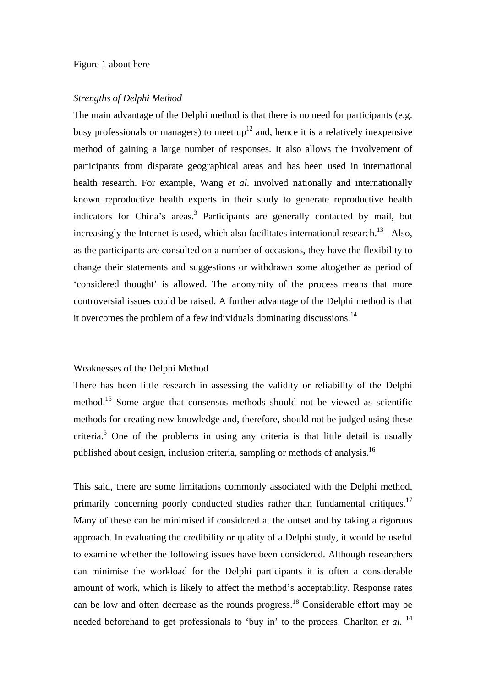#### Figure 1 about here

#### *Strengths of Delphi Method*

The main advantage of the Delphi method is that there is no need for participants (e.g. busy professionals or managers) to meet  $up<sup>12</sup>$  and, hence it is a relatively inexpensive method of gaining a large number of responses. It also allows the involvement of participants from disparate geographical areas and has been used in international health research. For example, Wang *et al.* involved nationally and internationally known reproductive health experts in their study to generate reproductive health indicators for China's areas.<sup>3</sup> Participants are generally contacted by mail, but increasingly the Internet is used, which also facilitates international research.<sup>13</sup> Also, as the participants are consulted on a number of occasions, they have the flexibility to change their statements and suggestions or withdrawn some altogether as period of 'considered thought' is allowed. The anonymity of the process means that more controversial issues could be raised. A further advantage of the Delphi method is that it overcomes the problem of a few individuals dominating discussions.<sup>14</sup>

#### Weaknesses of the Delphi Method

There has been little research in assessing the validity or reliability of the Delphi method.<sup>15</sup> Some argue that consensus methods should not be viewed as scientific methods for creating new knowledge and, therefore, should not be judged using these criteria.<sup>5</sup> One of the problems in using any criteria is that little detail is usually published about design, inclusion criteria, sampling or methods of analysis.<sup>16</sup>

This said, there are some limitations commonly associated with the Delphi method, primarily concerning poorly conducted studies rather than fundamental critiques.<sup>17</sup> Many of these can be minimised if considered at the outset and by taking a rigorous approach. In evaluating the credibility or quality of a Delphi study, it would be useful to examine whether the following issues have been considered. Although researchers can minimise the workload for the Delphi participants it is often a considerable amount of work, which is likely to affect the method's acceptability. Response rates can be low and often decrease as the rounds progress.18 Considerable effort may be needed beforehand to get professionals to 'buy in' to the process. Charlton *et al.* <sup>14</sup>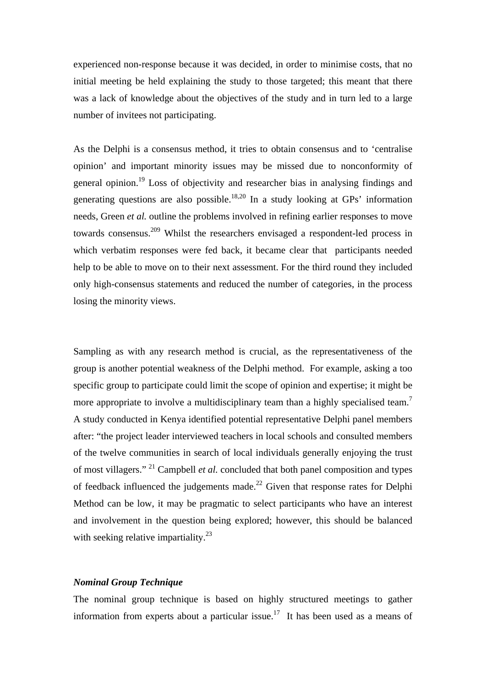experienced non-response because it was decided, in order to minimise costs, that no initial meeting be held explaining the study to those targeted; this meant that there was a lack of knowledge about the objectives of the study and in turn led to a large number of invitees not participating.

As the Delphi is a consensus method, it tries to obtain consensus and to 'centralise opinion' and important minority issues may be missed due to nonconformity of general opinion.<sup>19</sup> Loss of objectivity and researcher bias in analysing findings and generating questions are also possible.<sup>18,20</sup> In a study looking at GPs' information needs, Green *et al.* outline the problems involved in refining earlier responses to move towards consensus.209 Whilst the researchers envisaged a respondent-led process in which verbatim responses were fed back, it became clear that participants needed help to be able to move on to their next assessment. For the third round they included only high-consensus statements and reduced the number of categories, in the process losing the minority views.

Sampling as with any research method is crucial, as the representativeness of the group is another potential weakness of the Delphi method. For example, asking a too specific group to participate could limit the scope of opinion and expertise; it might be more appropriate to involve a multidisciplinary team than a highly specialised team.<sup>7</sup> A study conducted in Kenya identified potential representative Delphi panel members after: "the project leader interviewed teachers in local schools and consulted members of the twelve communities in search of local individuals generally enjoying the trust of most villagers." 21 Campbell *et al.* concluded that both panel composition and types of feedback influenced the judgements made.<sup>22</sup> Given that response rates for Delphi Method can be low, it may be pragmatic to select participants who have an interest and involvement in the question being explored; however, this should be balanced with seeking relative impartiality.<sup>23</sup>

#### *Nominal Group Technique*

The nominal group technique is based on highly structured meetings to gather information from experts about a particular issue.<sup>17</sup> It has been used as a means of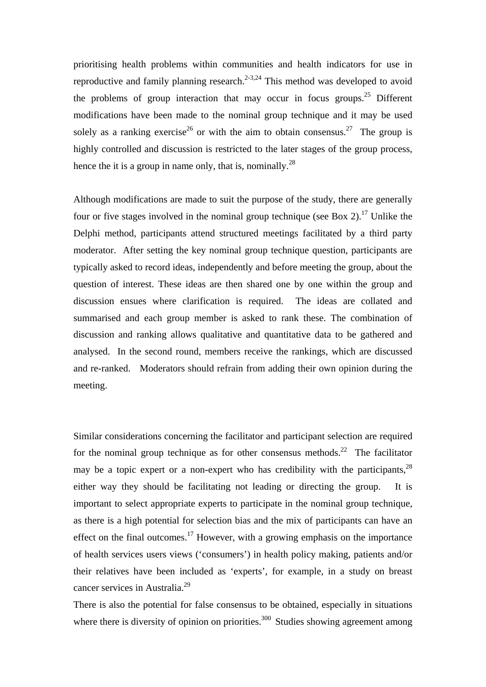prioritising health problems within communities and health indicators for use in reproductive and family planning research.<sup>2-3,24</sup> This method was developed to avoid the problems of group interaction that may occur in focus groups.<sup>25</sup> Different modifications have been made to the nominal group technique and it may be used solely as a ranking exercise<sup>26</sup> or with the aim to obtain consensus.<sup>27</sup> The group is highly controlled and discussion is restricted to the later stages of the group process, hence the it is a group in name only, that is, nominally.<sup>28</sup>

Although modifications are made to suit the purpose of the study, there are generally four or five stages involved in the nominal group technique (see Box 2).<sup>17</sup> Unlike the Delphi method, participants attend structured meetings facilitated by a third party moderator. After setting the key nominal group technique question, participants are typically asked to record ideas, independently and before meeting the group, about the question of interest. These ideas are then shared one by one within the group and discussion ensues where clarification is required. The ideas are collated and summarised and each group member is asked to rank these. The combination of discussion and ranking allows qualitative and quantitative data to be gathered and analysed. In the second round, members receive the rankings, which are discussed and re-ranked. Moderators should refrain from adding their own opinion during the meeting.

Similar considerations concerning the facilitator and participant selection are required for the nominal group technique as for other consensus methods.<sup>22</sup> The facilitator may be a topic expert or a non-expert who has credibility with the participants,  $^{28}$ either way they should be facilitating not leading or directing the group. It is important to select appropriate experts to participate in the nominal group technique, as there is a high potential for selection bias and the mix of participants can have an effect on the final outcomes.<sup>17</sup> However, with a growing emphasis on the importance of health services users views ('consumers') in health policy making, patients and/or their relatives have been included as 'experts', for example, in a study on breast cancer services in Australia.<sup>29</sup>

There is also the potential for false consensus to be obtained, especially in situations where there is diversity of opinion on priorities.<sup>300</sup> Studies showing agreement among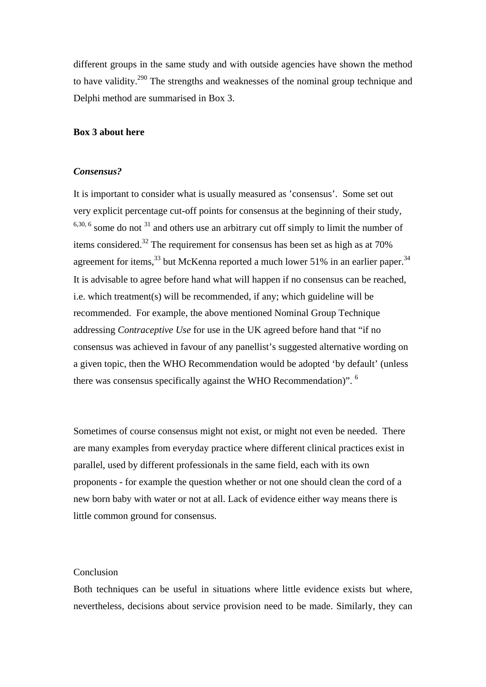different groups in the same study and with outside agencies have shown the method to have validity.290 The strengths and weaknesses of the nominal group technique and Delphi method are summarised in Box 3.

### **Box 3 about here**

#### *Consensus?*

It is important to consider what is usually measured as 'consensus'. Some set out very explicit percentage cut-off points for consensus at the beginning of their study,  $6,30,6$  some do not  $31$  and others use an arbitrary cut off simply to limit the number of items considered.<sup>32</sup> The requirement for consensus has been set as high as at 70% agreement for items,  $33$  but McKenna reported a much lower 51% in an earlier paper.  $34$ It is advisable to agree before hand what will happen if no consensus can be reached, i.e. which treatment(s) will be recommended, if any; which guideline will be recommended. For example, the above mentioned Nominal Group Technique addressing *Contraceptive Use* for use in the UK agreed before hand that "if no consensus was achieved in favour of any panellist's suggested alternative wording on a given topic, then the WHO Recommendation would be adopted 'by default' (unless there was consensus specifically against the WHO Recommendation)". 6

Sometimes of course consensus might not exist, or might not even be needed. There are many examples from everyday practice where different clinical practices exist in parallel, used by different professionals in the same field, each with its own proponents - for example the question whether or not one should clean the cord of a new born baby with water or not at all. Lack of evidence either way means there is little common ground for consensus.

# Conclusion

Both techniques can be useful in situations where little evidence exists but where, nevertheless, decisions about service provision need to be made. Similarly, they can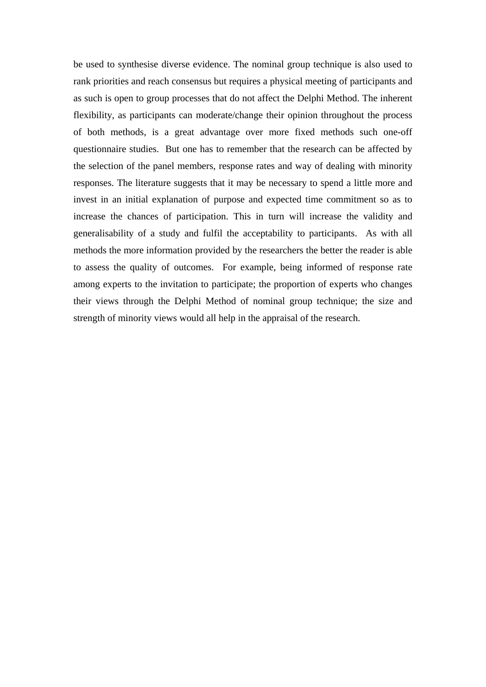be used to synthesise diverse evidence. The nominal group technique is also used to rank priorities and reach consensus but requires a physical meeting of participants and as such is open to group processes that do not affect the Delphi Method. The inherent flexibility, as participants can moderate/change their opinion throughout the process of both methods, is a great advantage over more fixed methods such one-off questionnaire studies. But one has to remember that the research can be affected by the selection of the panel members, response rates and way of dealing with minority responses. The literature suggests that it may be necessary to spend a little more and invest in an initial explanation of purpose and expected time commitment so as to increase the chances of participation. This in turn will increase the validity and generalisability of a study and fulfil the acceptability to participants. As with all methods the more information provided by the researchers the better the reader is able to assess the quality of outcomes. For example, being informed of response rate among experts to the invitation to participate; the proportion of experts who changes their views through the Delphi Method of nominal group technique; the size and strength of minority views would all help in the appraisal of the research.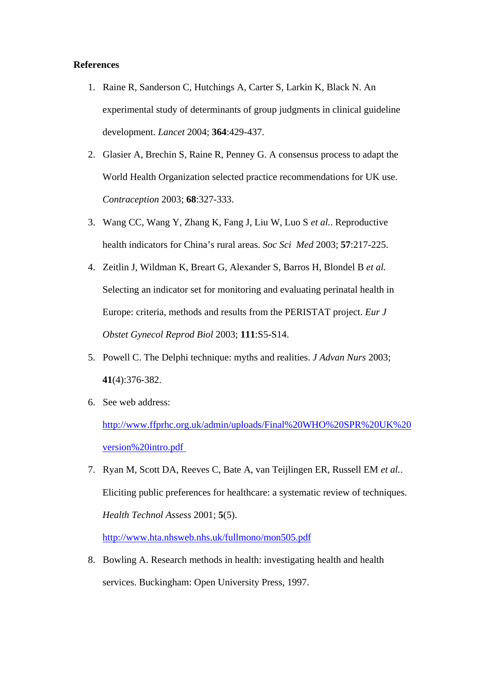### **References**

- 1. Raine R, Sanderson C, Hutchings A, Carter S, Larkin K, Black N. An experimental study of determinants of group judgments in clinical guideline development. *Lancet* 2004; **364**:429-437.
- 2. Glasier A, Brechin S, Raine R, Penney G. A consensus process to adapt the World Health Organization selected practice recommendations for UK use. *Contraception* 2003; **68**:327-333.
- 3. Wang CC, Wang Y, Zhang K, Fang J, Liu W, Luo S *et al.*. Reproductive health indicators for China's rural areas. *Soc Sci Med* 2003; **57**:217-225.
- 4. Zeitlin J, Wildman K, Breart G, Alexander S, Barros H, Blondel B *et al.* Selecting an indicator set for monitoring and evaluating perinatal health in Europe: criteria, methods and results from the PERISTAT project. *Eur J Obstet Gynecol Reprod Biol* 2003; **111**:S5-S14.
- 5. Powell C. The Delphi technique: myths and realities. *J Advan Nurs* 2003; **41**(4):376-382.
- 6. See web address:

[http://www.ffprhc.org.uk/admin/uploads/Final%20WHO%20SPR%20UK%20](http://www.ffprhc.org.uk/admin/uploads/Final%20WHO%20SPR%20UK%20version%20intro.pdf) [version%20intro.pdf](http://www.ffprhc.org.uk/admin/uploads/Final%20WHO%20SPR%20UK%20version%20intro.pdf) 

7. Ryan M, Scott DA, Reeves C, Bate A, van Teijlingen ER, Russell EM *et al.*. Eliciting public preferences for healthcare: a systematic review of techniques. *Health Technol Assess* 2001; **5**(5).

[http://www.hta.nhsweb.nhs.uk/fullmono/mon505.pdf](http://www.hta.nhsweb.nhs.uk/)

8. Bowling A. Research methods in health: investigating health and health services. Buckingham: Open University Press, 1997.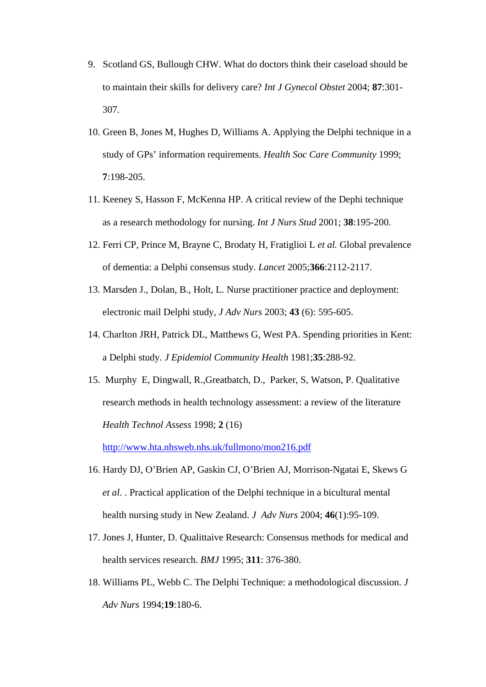- 9. Scotland GS, Bullough CHW. What do doctors think their caseload should be to maintain their skills for delivery care? *Int J Gynecol Obstet* 2004; **87**:301- 307.
- 10. Green B, Jones M, Hughes D, Williams A. Applying the Delphi technique in a study of GPs' information requirements. *Health Soc Care Community* 1999; **7**:198-205.
- 11. Keeney S, Hasson F, McKenna HP. A critical review of the Dephi technique as a research methodology for nursing. *Int J Nurs Stud* 2001; **38**:195-200.
- 12. Ferri CP, Prince M, Brayne C, Brodaty H, Fratiglioi L *et al.* Global prevalence of dementia: a Delphi consensus study. *Lancet* 2005;**366**:2112-2117.
- 13. Marsden J., Dolan, B., Holt, L. Nurse practitioner practice and deployment: electronic mail Delphi study, *J Adv Nurs* 2003; **43** (6): 595-605.
- 14. Charlton JRH, Patrick DL, Matthews G, West PA. Spending priorities in Kent: a Delphi study. *J Epidemiol Community Health* 1981;**35**:288-92.
- 15. Murphy E, Dingwall, R.,Greatbatch, D., Parker, S, Watson, P. Qualitative research methods in health technology assessment: a review of the literature *Health Technol Assess* 1998; **2** (16)

<http://www.hta.nhsweb.nhs.uk/fullmono/mon216.pdf>

- 16. Hardy DJ, O'Brien AP, Gaskin CJ, O'Brien AJ, Morrison-Ngatai E, Skews G *et al.* . Practical application of the Delphi technique in a bicultural mental health nursing study in New Zealand. *J Adv Nurs* 2004; **46**(1):95-109.
- 17. Jones J, Hunter, D. Qualittaive Research: Consensus methods for medical and health services research. *BMJ* 1995; **311**: 376-380.
- 18. Williams PL, Webb C. The Delphi Technique: a methodological discussion. *J Adv Nurs* 1994;**19**:180-6.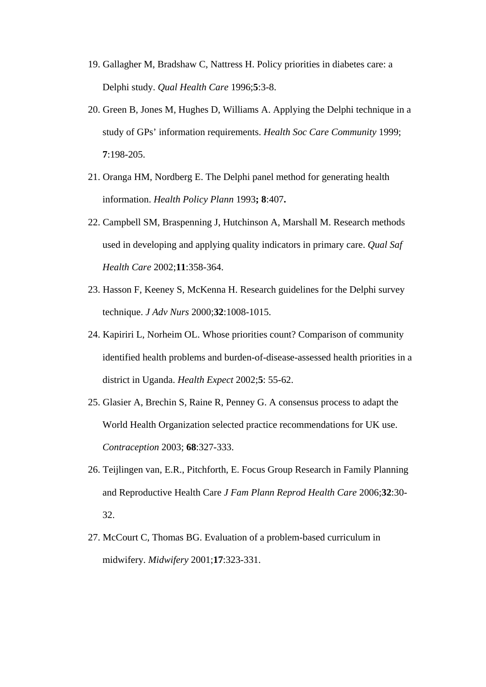- 19. Gallagher M, Bradshaw C, Nattress H. Policy priorities in diabetes care: a Delphi study. *Qual Health Care* 1996;**5**:3-8.
- 20. Green B, Jones M, Hughes D, Williams A. Applying the Delphi technique in a study of GPs' information requirements. *Health Soc Care Community* 1999; **7**:198-205.
- 21. Oranga HM, Nordberg E. The Delphi panel method for generating health information. *Health Policy Plann* 1993**; 8**:407**.**
- 22. Campbell SM, Braspenning J, Hutchinson A, Marshall M. Research methods used in developing and applying quality indicators in primary care. *Qual Saf Health Care* 2002;**11**:358-364.
- 23. Hasson F, Keeney S, McKenna H. Research guidelines for the Delphi survey technique. *J Adv Nurs* 2000;**32**:1008-1015.
- 24. Kapiriri L, Norheim OL. Whose priorities count? Comparison of community identified health problems and burden-of-disease-assessed health priorities in a district in Uganda. *Health Expect* 2002;**5**: 55-62.
- 25. Glasier A, Brechin S, Raine R, Penney G. A consensus process to adapt the World Health Organization selected practice recommendations for UK use. *Contraception* 2003; **68**:327-333.
- 26. Teijlingen van, E.R., Pitchforth, E. Focus Group Research in Family Planning and Reproductive Health Care *J Fam Plann Reprod Health Care* 2006;**32**:30- 32.
- 27. McCourt C, Thomas BG. Evaluation of a problem-based curriculum in midwifery. *Midwifery* 2001;**17**:323-331.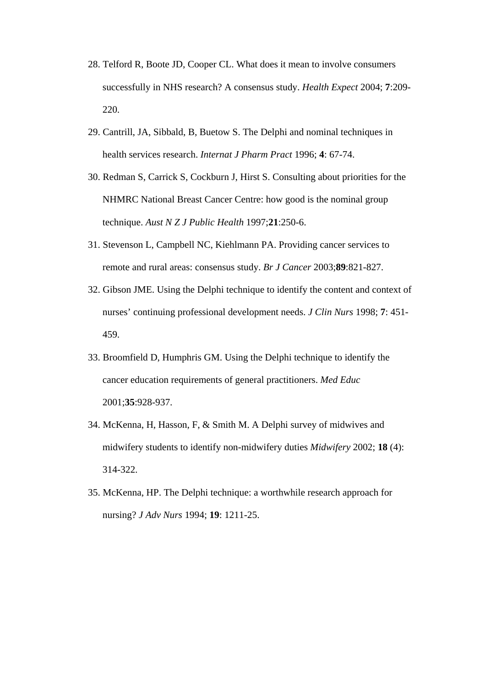- 28. Telford R, Boote JD, Cooper CL. What does it mean to involve consumers successfully in NHS research? A consensus study. *Health Expect* 2004; **7**:209- 220.
- 29. Cantrill, JA, Sibbald, B, Buetow S. The Delphi and nominal techniques in health services research. *Internat J Pharm Pract* 1996; **4**: 67-74.
- 30. Redman S, Carrick S, Cockburn J, Hirst S. Consulting about priorities for the NHMRC National Breast Cancer Centre: how good is the nominal group technique. *Aust N Z J Public Health* 1997;**21**:250-6.
- 31. Stevenson L, Campbell NC, Kiehlmann PA. Providing cancer services to remote and rural areas: consensus study. *Br J Cancer* 2003;**89**:821-827.
- 32. Gibson JME. Using the Delphi technique to identify the content and context of nurses' continuing professional development needs. *J Clin Nurs* 1998; **7**: 451- 459.
- 33. Broomfield D, Humphris GM. Using the Delphi technique to identify the cancer education requirements of general practitioners. *Med Educ* 2001;**35**:928-937.
- 34. McKenna, H, Hasson, F, & Smith M. A Delphi survey of midwives and midwifery students to identify non-midwifery duties *Midwifery* 2002; **18** (4): 314-322.
- 35. McKenna, HP. The Delphi technique: a worthwhile research approach for nursing? *J Adv Nurs* 1994; **19**: 1211-25.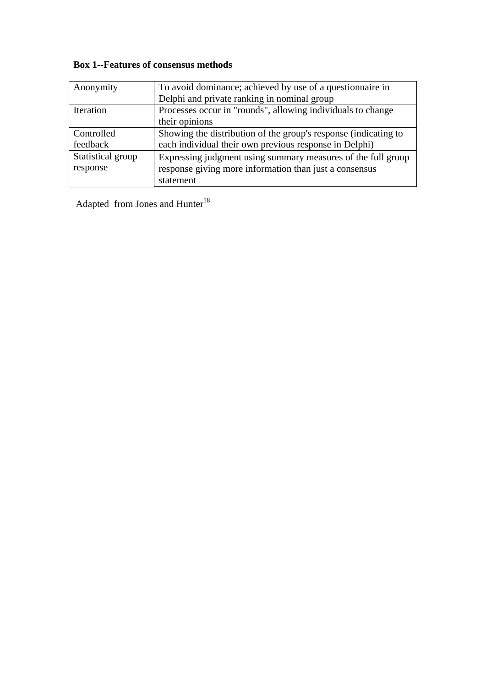# **Box 1--Features of consensus methods**

| Anonymity         | To avoid dominance; achieved by use of a question aire in       |  |
|-------------------|-----------------------------------------------------------------|--|
|                   | Delphi and private ranking in nominal group                     |  |
| Iteration         | Processes occur in "rounds", allowing individuals to change     |  |
|                   | their opinions                                                  |  |
| Controlled        | Showing the distribution of the group's response (indicating to |  |
| feedback          | each individual their own previous response in Delphi)          |  |
| Statistical group | Expressing judgment using summary measures of the full group    |  |
| response          | response giving more information than just a consensus          |  |
|                   | statement                                                       |  |

Adapted from Jones and  $\mathrm{Hunter}^{18}$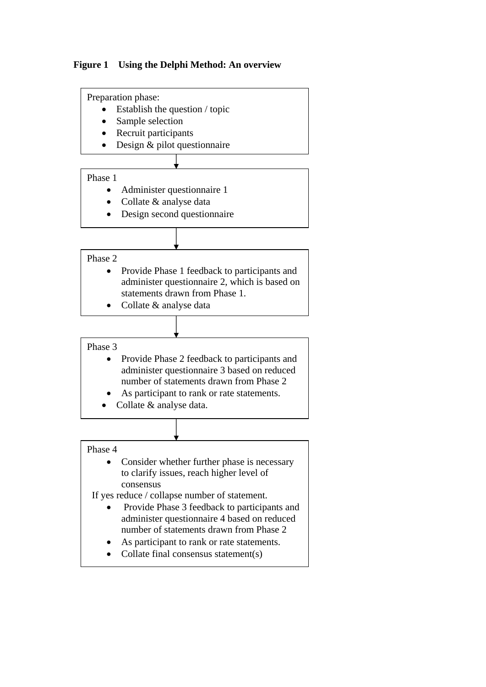

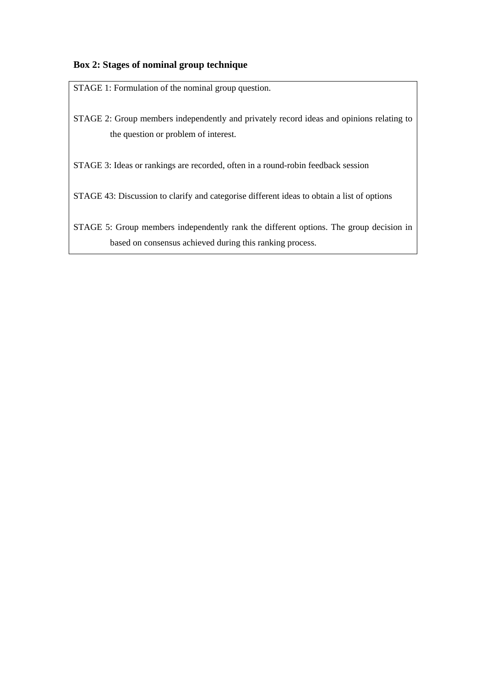# **Box 2: Stages of nominal group technique**

STAGE 1: Formulation of the nominal group question.

STAGE 2: Group members independently and privately record ideas and opinions relating to the question or problem of interest.

STAGE 3: Ideas or rankings are recorded, often in a round-robin feedback session

STAGE 43: Discussion to clarify and categorise different ideas to obtain a list of options

STAGE 5: Group members independently rank the different options. The group decision in based on consensus achieved during this ranking process.